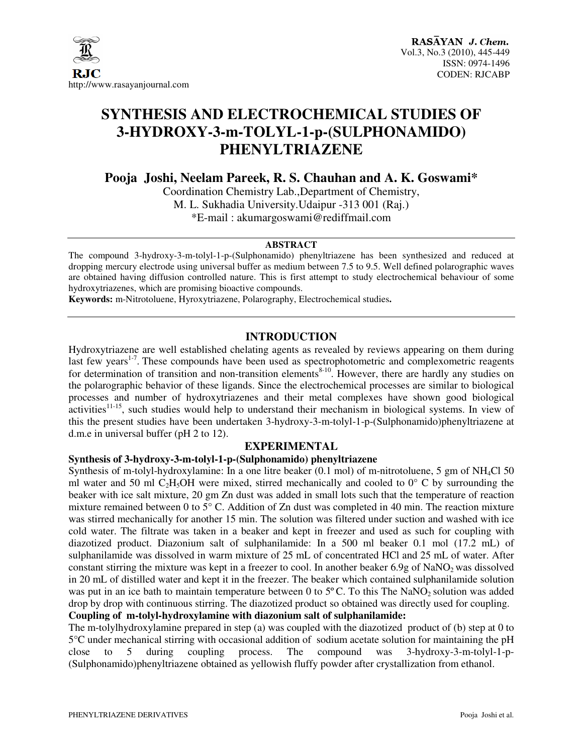

# **SYNTHESIS AND ELECTROCHEMICAL STUDIES OF 3-HYDROXY-3-m-TOLYL-1-p-(SULPHONAMIDO) PHENYLTRIAZENE**

**Pooja Joshi, Neelam Pareek, R. S. Chauhan and A. K. Goswami\*** 

Coordination Chemistry Lab.,Department of Chemistry, M. L. Sukhadia University.Udaipur -313 001 (Raj.) \*E-mail : akumargoswami@rediffmail.com

#### **ABSTRACT**

The compound 3-hydroxy-3-m-tolyl-1-p-(Sulphonamido) phenyltriazene has been synthesized and reduced at dropping mercury electrode using universal buffer as medium between 7.5 to 9.5. Well defined polarographic waves are obtained having diffusion controlled nature. This is first attempt to study electrochemical behaviour of some hydroxytriazenes, which are promising bioactive compounds.

**Keywords:** m-Nitrotoluene, Hyroxytriazene, Polarography, Electrochemical studies**.** 

## **INTRODUCTION**

Hydroxytriazene are well established chelating agents as revealed by reviews appearing on them during last few years<sup>1-7</sup>. These compounds have been used as spectrophotometric and complexometric reagents for determination of transition and non-transition elements<sup>8-10</sup>. However, there are hardly any studies on the polarographic behavior of these ligands. Since the electrochemical processes are similar to biological processes and number of hydroxytriazenes and their metal complexes have shown good biological activities<sup>11-15</sup>, such studies would help to understand their mechanism in biological systems. In view of this the present studies have been undertaken 3-hydroxy-3-m-tolyl-1-p-(Sulphonamido)phenyltriazene at d.m.e in universal buffer (pH 2 to 12).

#### **EXPERIMENTAL**

#### **Synthesis of 3-hydroxy-3-m-tolyl-1-p-(Sulphonamido) phenyltriazene**

Synthesis of m-tolyl-hydroxylamine: In a one litre beaker (0.1 mol) of m-nitrotoluene, 5 gm of NH<sub>4</sub>Cl 50 ml water and 50 ml C<sub>2</sub>H<sub>5</sub>OH were mixed, stirred mechanically and cooled to  $0^{\circ}$  C by surrounding the beaker with ice salt mixture, 20 gm Zn dust was added in small lots such that the temperature of reaction mixture remained between 0 to 5° C. Addition of Zn dust was completed in 40 min. The reaction mixture was stirred mechanically for another 15 min. The solution was filtered under suction and washed with ice cold water. The filtrate was taken in a beaker and kept in freezer and used as such for coupling with diazotized product. Diazonium salt of sulphanilamide: In a 500 ml beaker 0.1 mol (17.2 mL) of sulphanilamide was dissolved in warm mixture of 25 mL of concentrated HCl and 25 mL of water. After constant stirring the mixture was kept in a freezer to cool. In another beaker  $6.9g$  of NaNO<sub>2</sub> was dissolved in 20 mL of distilled water and kept it in the freezer. The beaker which contained sulphanilamide solution was put in an ice bath to maintain temperature between 0 to 5°C. To this The NaNO<sub>2</sub> solution was added drop by drop with continuous stirring. The diazotized product so obtained was directly used for coupling. **Coupling of m-tolyl-hydroxylamine with diazonium salt of sulphanilamide:** 

The m-tolylhydroxylamine prepared in step (a) was coupled with the diazotized product of (b) step at 0 to 5°C under mechanical stirring with occasional addition of sodium acetate solution for maintaining the pH close to 5 during coupling process. The compound was 3-hydroxy-3-m-tolyl-1-nclose to 5 during coupling process. The compound was 3-hydroxy-3-m-tolyl-1-p- (Sulphonamido)phenyltriazene obtained as yellowish fluffy powder after crystallization from ethanol.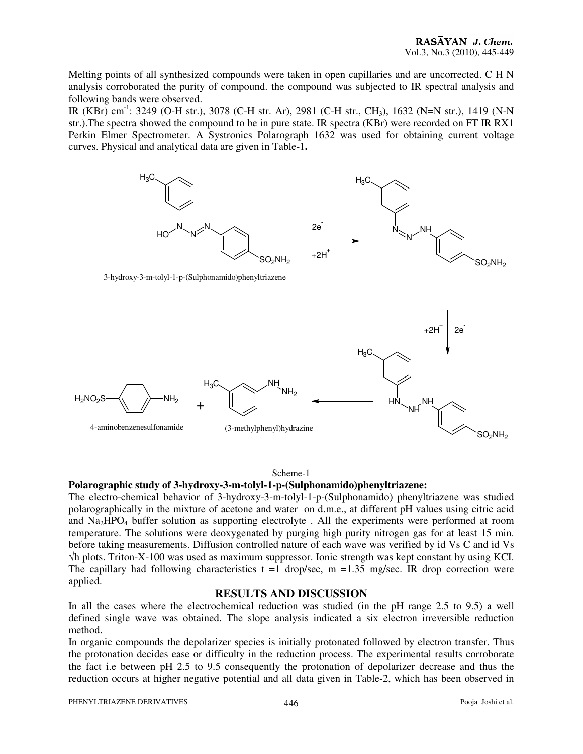Melting points of all synthesized compounds were taken in open capillaries and are uncorrected. C H N analysis corroborated the purity of compound. the compound was subjected to IR spectral analysis and following bands were observed.

IR (KBr) cm-1: 3249 (O-H str.), 3078 (C-H str. Ar), 2981 (C-H str., CH3), 1632 (N=N str.), 1419 (N-N str.).The spectra showed the compound to be in pure state. IR spectra (KBr) were recorded on FT IR RX1 Perkin Elmer Spectrometer. A Systronics Polarograph 1632 was used for obtaining current voltage curves. Physical and analytical data are given in Table-1**.** 



#### Scheme-1

#### **Polarographic study of 3-hydroxy-3-m-tolyl-1-p-(Sulphonamido)phenyltriazene:**

The electro-chemical behavior of 3-hydroxy-3-m-tolyl-1-p-(Sulphonamido) phenyltriazene was studied polarographically in the mixture of acetone and water on d.m.e., at different pH values using citric acid and Na2HPO4 buffer solution as supporting electrolyte . All the experiments were performed at room temperature. The solutions were deoxygenated by purging high purity nitrogen gas for at least 15 min. before taking measurements. Diffusion controlled nature of each wave was verified by id Vs C and id Vs √h plots. Triton-X-100 was used as maximum suppressor. Ionic strength was kept constant by using KCI. The capillary had following characteristics  $t = 1$  drop/sec,  $m = 1.35$  mg/sec. IR drop correction were applied.

#### **RESULTS AND DISCUSSION**

In all the cases where the electrochemical reduction was studied (in the pH range 2.5 to 9.5) a well defined single wave was obtained. The slope analysis indicated a six electron irreversible reduction method.

In organic compounds the depolarizer species is initially protonated followed by electron transfer. Thus the protonation decides ease or difficulty in the reduction process. The experimental results corroborate the fact i.e between pH 2.5 to 9.5 consequently the protonation of depolarizer decrease and thus the reduction occurs at higher negative potential and all data given in Table-2, which has been observed in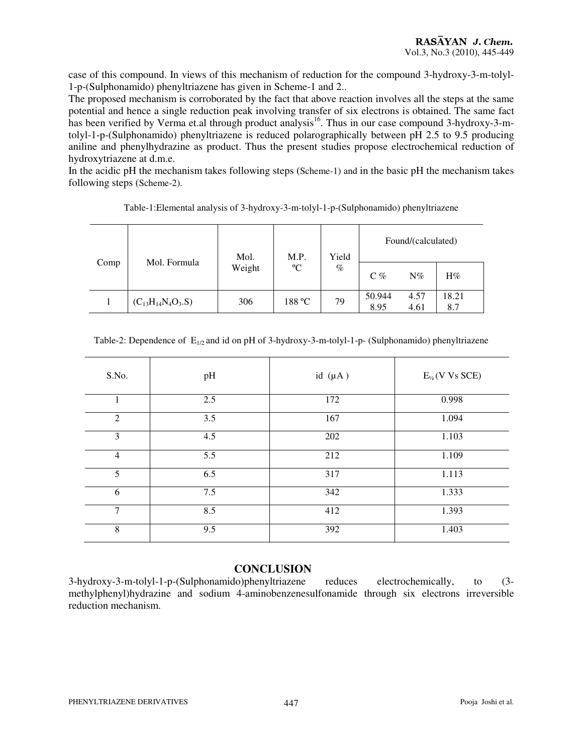case of this compound. In views of this mechanism of reduction for the compound 3-hydroxy-3-m-tolyl-1-p-(Sulphonamido) phenyltriazene has given in Scheme-1 and 2..

The proposed mechanism is corroborated by the fact that above reaction involves all the steps at the same potential and hence a single reduction peak involving transfer of six electrons is obtained. The same fact has been verified by Verma et.al through product analysis<sup>16</sup>. Thus in our case compound 3-hydroxy-3-mtolyl-1-p-(Sulphonamido) phenyltriazene is reduced polarographically between pH 2.5 to 9.5 producing aniline and phenylhydrazine as product. Thus the present studies propose electrochemical reduction of hydroxytriazene at d.m.e.

In the acidic pH the mechanism takes following steps (Scheme-1) and in the basic pH the mechanism takes following steps (Scheme-2).

|      |                          | Mol.   | M.P.        | Yield | Found/(calculated) |              |              |
|------|--------------------------|--------|-------------|-------|--------------------|--------------|--------------|
| Comp | Mol. Formula             | Weight | $\rm ^{o}C$ | $\%$  | $C\%$              | $N\%$        | $H\%$        |
|      | $(C_{13}H_{14}N_4O_3.S)$ | 306    | 188 °C      | 79    | 50.944<br>8.95     | 4.57<br>4.61 | 18.21<br>8.7 |

Table-1:Elemental analysis of 3-hydroxy-3-m-tolyl-1-p-(Sulphonamido) phenyltriazene

| Table-2: Dependence of $E_{1/2}$ and id on pH of 3-hydroxy-3-m-tolyl-1-p- (Sulphonamido) phenyltriazene |  |  |  |  |  |  |
|---------------------------------------------------------------------------------------------------------|--|--|--|--|--|--|
|---------------------------------------------------------------------------------------------------------|--|--|--|--|--|--|

| S.No.          | pH  | id $(\mu A)$ | $E_{\frac{1}{2}}(V \text{ Vs}$ SCE) |
|----------------|-----|--------------|-------------------------------------|
| 1              | 2.5 | 172          | 0.998                               |
| $\overline{2}$ | 3.5 | 167          | 1.094                               |
| 3              | 4.5 | 202          | 1.103                               |
| $\overline{4}$ | 5.5 | 212          | 1.109                               |
| 5              | 6.5 | 317          | 1.113                               |
| 6              | 7.5 | 342          | 1.333                               |
| $\overline{7}$ | 8.5 | 412          | 1.393                               |
| 8              | 9.5 | 392          | 1.403                               |
|                |     |              |                                     |

## **CONCLUSION**

3-hydroxy-3-m-tolyl-1-p-(Sulphonamido)phenyltriazene reduces electrochemically, to (3 methylphenyl)hydrazine and sodium 4-aminobenzenesulfonamide through six electrons irreversible reduction mechanism.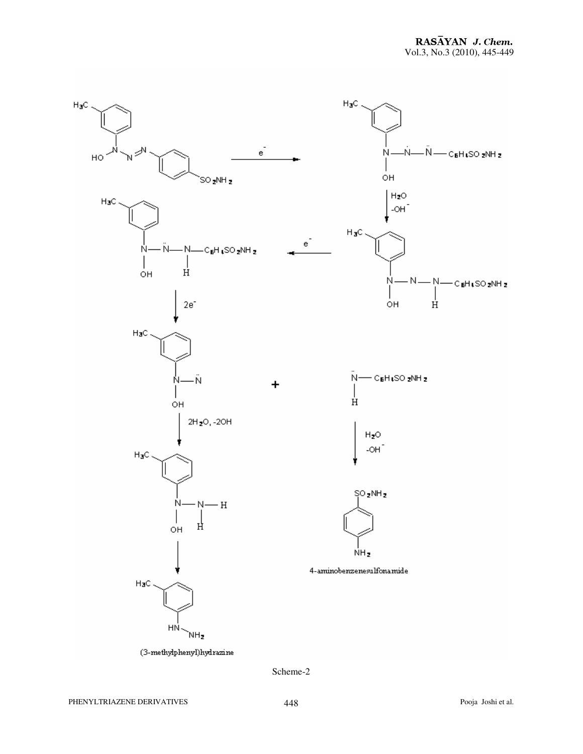